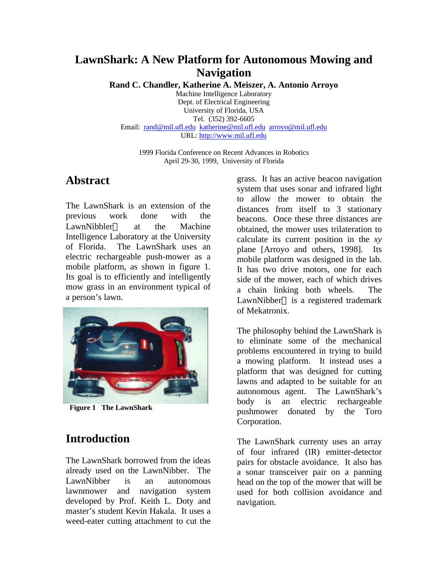### **LawnShark: A New Platform for Autonomous Mowing and Navigation**

**Rand C. Chandler, Katherine A. Meiszer, A. Antonio Arroyo**

Machine Intelligence Laboratory Dept. of Electrical Engineering University of Florida, USA Tel. (352) 392-6605 Email: rand@mil.ufl.edu katherine@mil.ufl.edu arroyo@mil.ufl.edu URL: http://www.mil.ufl.edu

1999 Florida Conference on Recent Advances in Robotics April 29-30, 1999, University of Florida

#### **Abstract**

The LawnShark is an extension of the previous work done with the LawnNibbler<sup>®</sup> at the Machine Intelligence Laboratory at the University of Florida. The LawnShark uses an electric rechargeable push-mower as a mobile platform, as shown in figure 1. Its goal is to efficiently and intelligently mow grass in an environment typical of a person's lawn.



 **Figure 1 The LawnShark**

### **Introduction**

The LawnShark borrowed from the ideas already used on the LawnNibber. The LawnNibber is an autonomous lawnmower and navigation system developed by Prof. Keith L. Doty and master's student Kevin Hakala. It uses a weed-eater cutting attachment to cut the

grass. It has an active beacon navigation system that uses sonar and infrared light to allow the mower to obtain the distances from itself to 3 stationary beacons. Once these three distances are obtained, the mower uses trilateration to calculate its current position in the *xy* plane [Arroyo and others, 1998]. Its mobile platform was designed in the lab. It has two drive motors, one for each side of the mower, each of which drives a chain linking both wheels. The LawnNibber<sup> $TM$ </sup> is a registered trademark of Mekatronix.

The philosophy behind the LawnShark is to eliminate some of the mechanical problems encountered in trying to build a mowing platform. It instead uses a platform that was designed for cutting lawns and adapted to be suitable for an autonomous agent. The LawnShark's body is an electric rechargeable pushmower donated by the Toro Corporation.

The LawnShark currenty uses an array of four infrared (IR) emitter-detector pairs for obstacle avoidance. It also has a sonar transceiver pair on a panning head on the top of the mower that will be used for both collision avoidance and navigation.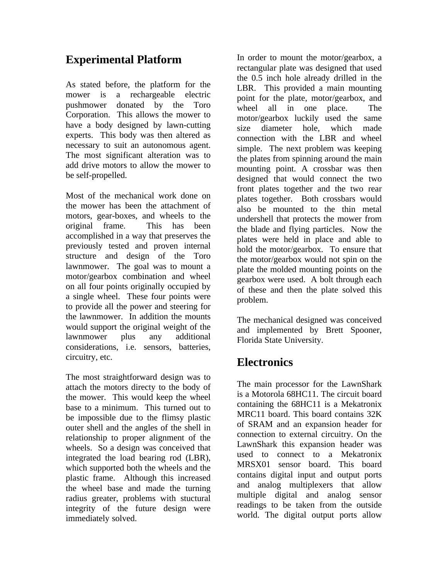## **Experimental Platform**

As stated before, the platform for the mower is a rechargeable electric pushmower donated by the Toro Corporation. This allows the mower to have a body designed by lawn-cutting experts. This body was then altered as necessary to suit an autonomous agent. The most significant alteration was to add drive motors to allow the mower to be self-propelled.

Most of the mechanical work done on the mower has been the attachment of motors, gear-boxes, and wheels to the original frame. This has been accomplished in a way that preserves the previously tested and proven internal structure and design of the Toro lawnmower. The goal was to mount a motor/gearbox combination and wheel on all four points originally occupied by a single wheel. These four points were to provide all the power and steering for the lawnmower. In addition the mounts would support the original weight of the lawnmower plus any additional considerations, i.e. sensors, batteries, circuitry, etc.

The most straightforward design was to attach the motors directy to the body of the mower. This would keep the wheel base to a minimum. This turned out to be impossible due to the flimsy plastic outer shell and the angles of the shell in relationship to proper alignment of the wheels. So a design was conceived that integrated the load bearing rod (LBR), which supported both the wheels and the plastic frame. Although this increased the wheel base and made the turning radius greater, problems with stuctural integrity of the future design were immediately solved.

In order to mount the motor/gearbox, a rectangular plate was designed that used the 0.5 inch hole already drilled in the LBR. This provided a main mounting point for the plate, motor/gearbox, and wheel all in one place. The motor/gearbox luckily used the same size diameter hole, which made connection with the LBR and wheel simple. The next problem was keeping the plates from spinning around the main mounting point. A crossbar was then designed that would connect the two front plates together and the two rear plates together. Both crossbars would also be mounted to the thin metal undershell that protects the mower from the blade and flying particles. Now the plates were held in place and able to hold the motor/gearbox. To ensure that the motor/gearbox would not spin on the plate the molded mounting points on the gearbox were used. A bolt through each of these and then the plate solved this problem.

The mechanical designed was conceived and implemented by Brett Spooner, Florida State University.

### **Electronics**

The main processor for the LawnShark is a Motorola 68HC11. The circuit board containing the 68HC11 is a Mekatronix MRC11 board. This board contains 32K of SRAM and an expansion header for connection to external circuitry. On the LawnShark this expansion header was used to connect to a Mekatronix MRSX01 sensor board. This board contains digital input and output ports and analog multiplexers that allow multiple digital and analog sensor readings to be taken from the outside world. The digital output ports allow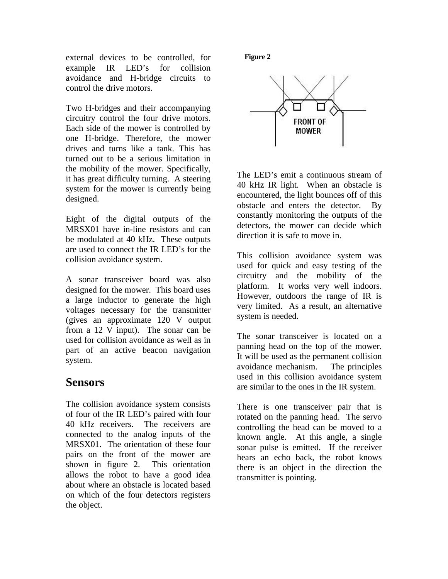external devices to be controlled, for example IR LED's for collision avoidance and H-bridge circuits to control the drive motors.

Two H-bridges and their accompanying circuitry control the four drive motors. Each side of the mower is controlled by one H-bridge. Therefore, the mower drives and turns like a tank. This has turned out to be a serious limitation in the mobility of the mower. Specifically, it has great difficulty turning. A steering system for the mower is currently being designed.

Eight of the digital outputs of the MRSX01 have in-line resistors and can be modulated at 40 kHz. These outputs are used to connect the IR LED's for the collision avoidance system.

A sonar transceiver board was also designed for the mower. This board uses a large inductor to generate the high voltages necessary for the transmitter (gives an approximate 120 V output from a 12 V input). The sonar can be used for collision avoidance as well as in part of an active beacon navigation system.

### **Sensors**

The collision avoidance system consists of four of the IR LED's paired with four 40 kHz receivers. The receivers are connected to the analog inputs of the MRSX01. The orientation of these four pairs on the front of the mower are shown in figure 2. This orientation allows the robot to have a good idea about where an obstacle is located based on which of the four detectors registers the object.

#### **Figure 2**



The LED's emit a continuous stream of 40 kHz IR light. When an obstacle is encountered, the light bounces off of this obstacle and enters the detector. By constantly monitoring the outputs of the detectors, the mower can decide which direction it is safe to move in.

This collision avoidance system was used for quick and easy testing of the circuitry and the mobility of the platform. It works very well indoors. However, outdoors the range of IR is very limited. As a result, an alternative system is needed.

The sonar transceiver is located on a panning head on the top of the mower. It will be used as the permanent collision avoidance mechanism. The principles used in this collision avoidance system are similar to the ones in the IR system.

There is one transceiver pair that is rotated on the panning head. The servo controlling the head can be moved to a known angle. At this angle, a single sonar pulse is emitted. If the receiver hears an echo back, the robot knows there is an object in the direction the transmitter is pointing.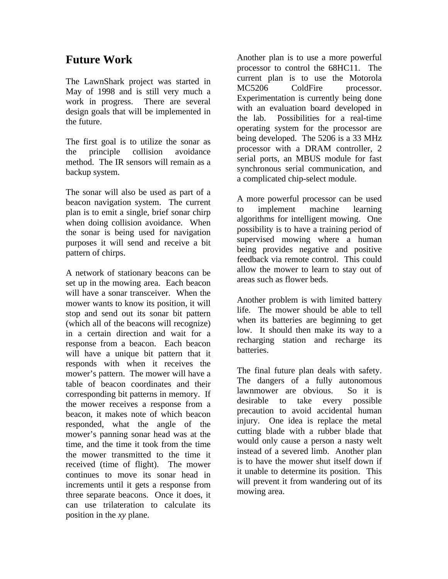# **Future Work**

The LawnShark project was started in May of 1998 and is still very much a work in progress. There are several design goals that will be implemented in the future.

The first goal is to utilize the sonar as the principle collision avoidance method. The IR sensors will remain as a backup system.

The sonar will also be used as part of a beacon navigation system. The current plan is to emit a single, brief sonar chirp when doing collision avoidance. When the sonar is being used for navigation purposes it will send and receive a bit pattern of chirps.

A network of stationary beacons can be set up in the mowing area. Each beacon will have a sonar transceiver. When the mower wants to know its position, it will stop and send out its sonar bit pattern (which all of the beacons will recognize) in a certain direction and wait for a response from a beacon. Each beacon will have a unique bit pattern that it responds with when it receives the mower's pattern. The mower will have a table of beacon coordinates and their corresponding bit patterns in memory. If the mower receives a response from a beacon, it makes note of which beacon responded, what the angle of the mower's panning sonar head was at the time, and the time it took from the time the mower transmitted to the time it received (time of flight). The mower continues to move its sonar head in increments until it gets a response from three separate beacons. Once it does, it can use trilateration to calculate its position in the *xy* plane.

Another plan is to use a more powerful processor to control the 68HC11. The current plan is to use the Motorola MC5206 ColdFire processor. Experimentation is currently being done with an evaluation board developed in the lab. Possibilities for a real-time operating system for the processor are being developed. The 5206 is a 33 MHz processor with a DRAM controller, 2 serial ports, an MBUS module for fast synchronous serial communication, and a complicated chip-select module.

A more powerful processor can be used to implement machine learning algorithms for intelligent mowing. One possibility is to have a training period of supervised mowing where a human being provides negative and positive feedback via remote control. This could allow the mower to learn to stay out of areas such as flower beds.

Another problem is with limited battery life. The mower should be able to tell when its batteries are beginning to get low. It should then make its way to a recharging station and recharge its batteries.

The final future plan deals with safety. The dangers of a fully autonomous lawnmower are obvious. So it is desirable to take every possible precaution to avoid accidental human injury. One idea is replace the metal cutting blade with a rubber blade that would only cause a person a nasty welt instead of a severed limb. Another plan is to have the mower shut itself down if it unable to determine its position. This will prevent it from wandering out of its mowing area.